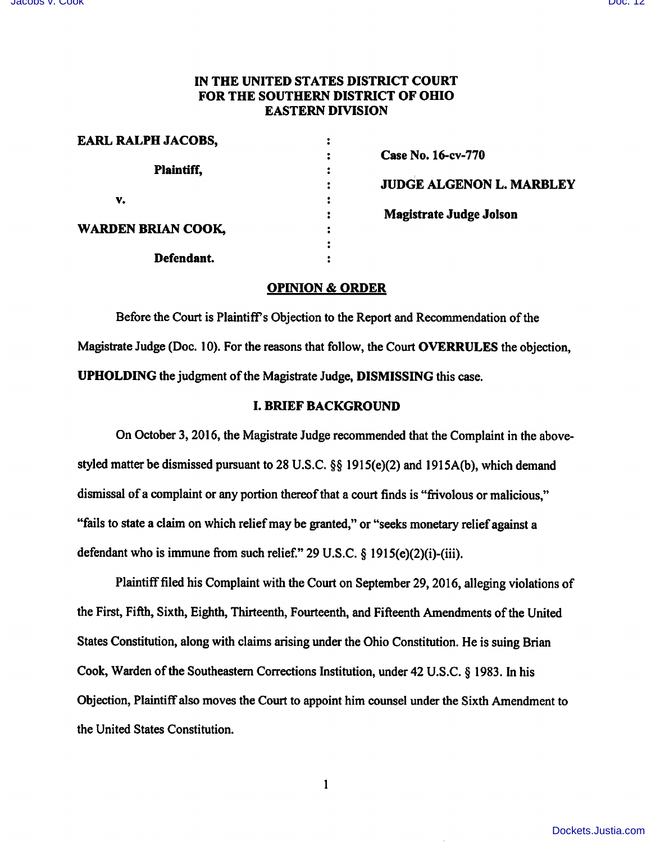# IN THE UNITED STATES DISTRICT COURT FOR THE SOUTHERN DISTRICT OF OHIO EASTERN DIVISION

| <b>EARL RALPH JACOBS,</b> |                                 |
|---------------------------|---------------------------------|
|                           | Case No. 16-cv-770              |
| <b>Plaintiff,</b>         |                                 |
|                           | <b>JUDGE ALGENON L. MARBLEY</b> |
| v.                        |                                 |
|                           | <b>Magistrate Judge Jolson</b>  |
| <b>WARDEN BRIAN COOK,</b> |                                 |
|                           |                                 |
| Defendant.                |                                 |

## OPINION & ORDER

Before the Court is Plaintiff's Objection to the Report and Recommendation of the Magistrate Judge (Doc. 10). For the reasons that follow, the Court OVERRULES the objection, UPHOLDING the judgment of the Magistrate Judge, DISMISSING this case.

## I. BRIEF BACKGROUND

On October 3, 2016, the Magistrate Judge recommended that the Complaint in the abovestyled matter be dismissed pursuant to 28 U.S.C.  $\S$ § 1915(e)(2) and 1915A(b), which demand dismissal of a complaint or any portion thereof that a court finds is "frivolous or malicious," "fails to state a claim on which relief may be granted," or "seeks monetary relief against a defendant who is immune from such relief." 29 U.S.C.  $\S$  1915(e)(2)(i)-(iii).

Plaintiff filed his Complaint with the Court on September 29, 2016, alleging violations of the First, Fifth, Sixth, Eighth, Thirteenth, Fourteenth, and Fifteenth Amendments of the United States Constitution, along with claims arising under the Ohio Constitution. He is suing Brian Cook, Warden of the Southeastern Corrections Institution, under 42 U.S.C. § 1983. In his Objection, Plaintiffalso moves the Court to appoint him counsel under the Sixth Amendment to the United States Constitution.

 $\mathbf{1}$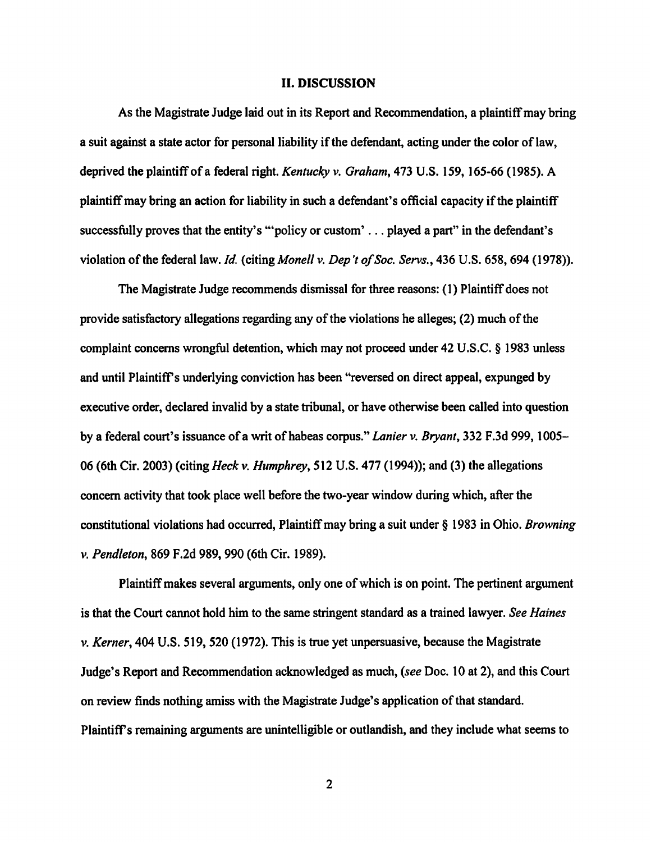#### II. DISCUSSION

As the Magistrate Judge laid out in its Report and Recommendation, a plaintiff may bring a suit against a state actor for personal liability if the defendant, acting under the color of law, deprived the plaintiff of a federal right. Kentucky v. Graham, 473 U.S. 159, 165-66 (1985). A plaintiff may bring an action for liability in such a defendant's official capacity if the plaintiff successfully proves that the entity's "policy or custom'... played a part" in the defendant's violation of the federal law. Id. (citing Monell v. Dep't of Soc. Servs., 436 U.S. 658, 694 (1978)).

The Magistrate Judge recommends dismissal for three reasons: (1) Plaintiff does not provide satisfactory allegations regarding any of the violations he alleges;  $(2)$  much of the complaint concerns wrongful detention, which may not proceed under 42 U.S.C. § 1983 unless and until Plaintiff's underlying conviction has been "reversed on direct appeal, expunged by executive order, declared invalid by a state tribunal, or have otherwise been called into question by a federal court's issuance of a writ of habeas corpus." Lanier v. Bryant, 332 F.3d 999, 1005-06 (6th Cir. 2003) (citing Heck v. Humphrey, 512 U.S. 477 (1994)); and (3) the allegations concem activity that took place well before the two-year window during which, after the constitutional violations had occurred. Plaintiff may bring a suit under § 1983 in Ohio. Browning V. Pendleton, 869 F.2d 989,990 (6th Cir. 1989).

Plaintiff makes several arguments, only one of which is on point. The pertinent argument is that the Court cannot hold him to the same stringent standard as a trained lawyer. See Haines V. Kerner, 404 U.S. 519, 520 (1972). This is true yet unpersuasive, because the Magistrate Judge's Report and Recommendation acknowledged as much, {seeDoc. 10 at 2), and this Court on review finds nothing amiss with the Magistrate Judge's application of that standard. Plaintiffs remaining arguments are unintelligible or outlandish, and they include what seems to

 $\overline{2}$